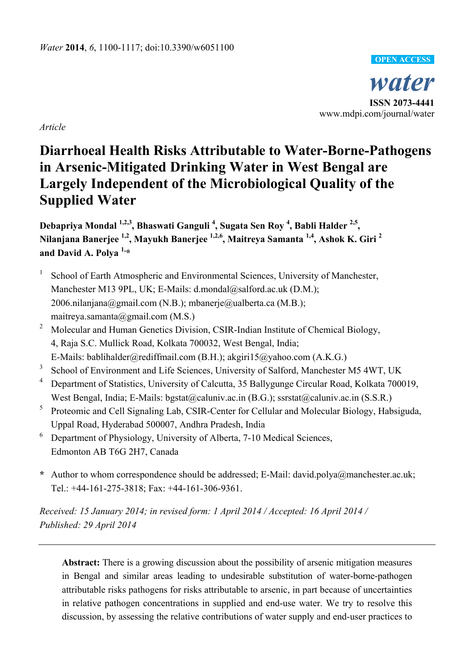*water*  **ISSN 2073-4441**  www.mdpi.com/journal/water **OPEN ACCESS**

*Article* 

# **Diarrhoeal Health Risks Attributable to Water-Borne-Pathogens in Arsenic-Mitigated Drinking Water in West Bengal are Largely Independent of the Microbiological Quality of the Supplied Water**

**Debapriya Mondal 1,2,3, Bhaswati Ganguli 4 , Sugata Sen Roy <sup>4</sup> , Babli Halder 2,5, Nilanjana Banerjee 1,2, Mayukh Banerjee 1,2,6, Maitreya Samanta 1,4, Ashok K. Giri 2 and David A. Polya 1,\*** 

- 1 School of Earth Atmospheric and Environmental Sciences, University of Manchester, Manchester M13 9PL, UK; E-Mails: d.mondal@salford.ac.uk (D.M.); 2006.nilanjana@gmail.com (N.B.); mbanerje@ualberta.ca (M.B.); maitreya.samanta@gmail.com (M.S.)
- <sup>2</sup> Molecular and Human Genetics Division, CSIR-Indian Institute of Chemical Biology, 4, Raja S.C. Mullick Road, Kolkata 700032, West Bengal, India; E-Mails: bablihalder@rediffmail.com (B.H.); akgiri15@yahoo.com (A.K.G.)
- <sup>3</sup> School of Environment and Life Sciences, University of Salford, Manchester M5 4WT, UK
- <sup>4</sup> Department of Statistics, University of Calcutta, 35 Ballygunge Circular Road, Kolkata 700019, West Bengal, India; E-Mails: bgstat@caluniv.ac.in (B.G.); ssrstat@caluniv.ac.in (S.S.R.)
- <sup>5</sup> Proteomic and Cell Signaling Lab, CSIR-Center for Cellular and Molecular Biology, Habsiguda, Uppal Road, Hyderabad 500007, Andhra Pradesh, India
- 6 Department of Physiology, University of Alberta, 7-10 Medical Sciences, Edmonton AB T6G 2H7, Canada
- **\*** Author to whom correspondence should be addressed; E-Mail: david.polya@manchester.ac.uk; Tel.: +44-161-275-3818; Fax: +44-161-306-9361.

*Received: 15 January 2014; in revised form: 1 April 2014 / Accepted: 16 April 2014 / Published: 29 April 2014* 

**Abstract:** There is a growing discussion about the possibility of arsenic mitigation measures in Bengal and similar areas leading to undesirable substitution of water-borne-pathogen attributable risks pathogens for risks attributable to arsenic, in part because of uncertainties in relative pathogen concentrations in supplied and end-use water. We try to resolve this discussion, by assessing the relative contributions of water supply and end-user practices to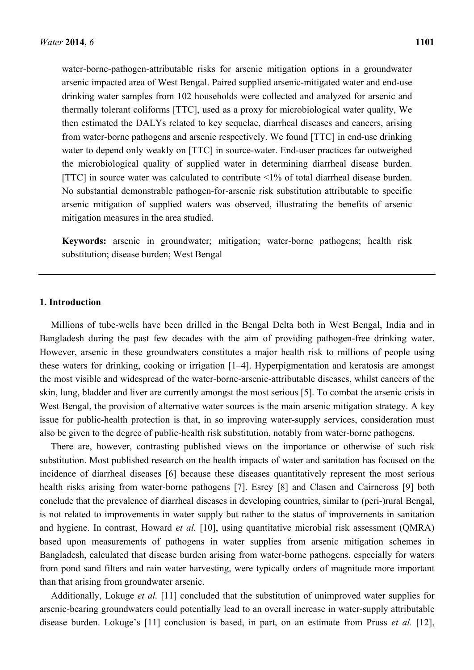water-borne-pathogen-attributable risks for arsenic mitigation options in a groundwater arsenic impacted area of West Bengal. Paired supplied arsenic-mitigated water and end-use drinking water samples from 102 households were collected and analyzed for arsenic and thermally tolerant coliforms [TTC], used as a proxy for microbiological water quality, We then estimated the DALYs related to key sequelae, diarrheal diseases and cancers, arising from water-borne pathogens and arsenic respectively. We found [TTC] in end-use drinking water to depend only weakly on [TTC] in source-water. End-user practices far outweighed the microbiological quality of supplied water in determining diarrheal disease burden. [TTC] in source water was calculated to contribute <1% of total diarrheal disease burden. No substantial demonstrable pathogen-for-arsenic risk substitution attributable to specific arsenic mitigation of supplied waters was observed, illustrating the benefits of arsenic mitigation measures in the area studied.

**Keywords:** arsenic in groundwater; mitigation; water-borne pathogens; health risk substitution; disease burden; West Bengal

## **1. Introduction**

Millions of tube-wells have been drilled in the Bengal Delta both in West Bengal, India and in Bangladesh during the past few decades with the aim of providing pathogen-free drinking water. However, arsenic in these groundwaters constitutes a major health risk to millions of people using these waters for drinking, cooking or irrigation [1–4]. Hyperpigmentation and keratosis are amongst the most visible and widespread of the water-borne-arsenic-attributable diseases, whilst cancers of the skin, lung, bladder and liver are currently amongst the most serious [5]. To combat the arsenic crisis in West Bengal, the provision of alternative water sources is the main arsenic mitigation strategy. A key issue for public-health protection is that, in so improving water-supply services, consideration must also be given to the degree of public-health risk substitution, notably from water-borne pathogens.

There are, however, contrasting published views on the importance or otherwise of such risk substitution. Most published research on the health impacts of water and sanitation has focused on the incidence of diarrheal diseases [6] because these diseases quantitatively represent the most serious health risks arising from water-borne pathogens [7]. Esrey [8] and Clasen and Cairncross [9] both conclude that the prevalence of diarrheal diseases in developing countries, similar to (peri-)rural Bengal, is not related to improvements in water supply but rather to the status of improvements in sanitation and hygiene. In contrast, Howard *et al.* [10], using quantitative microbial risk assessment (QMRA) based upon measurements of pathogens in water supplies from arsenic mitigation schemes in Bangladesh, calculated that disease burden arising from water-borne pathogens, especially for waters from pond sand filters and rain water harvesting, were typically orders of magnitude more important than that arising from groundwater arsenic.

Additionally, Lokuge *et al.* [11] concluded that the substitution of unimproved water supplies for arsenic-bearing groundwaters could potentially lead to an overall increase in water-supply attributable disease burden. Lokuge's [11] conclusion is based, in part, on an estimate from Pruss *et al.* [12],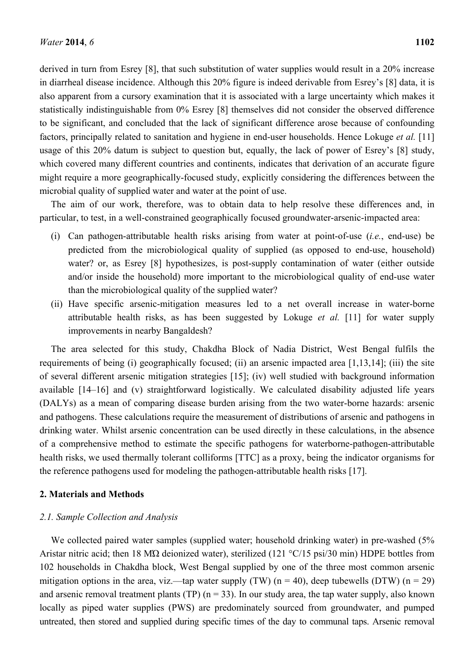derived in turn from Esrey [8], that such substitution of water supplies would result in a 20% increase in diarrheal disease incidence. Although this 20% figure is indeed derivable from Esrey's [8] data, it is also apparent from a cursory examination that it is associated with a large uncertainty which makes it statistically indistinguishable from 0% Esrey [8] themselves did not consider the observed difference to be significant, and concluded that the lack of significant difference arose because of confounding factors, principally related to sanitation and hygiene in end-user households. Hence Lokuge *et al.* [11] usage of this 20% datum is subject to question but, equally, the lack of power of Esrey's [8] study, which covered many different countries and continents, indicates that derivation of an accurate figure might require a more geographically-focused study, explicitly considering the differences between the microbial quality of supplied water and water at the point of use.

The aim of our work, therefore, was to obtain data to help resolve these differences and, in particular, to test, in a well-constrained geographically focused groundwater-arsenic-impacted area:

- (i) Can pathogen-attributable health risks arising from water at point-of-use (*i.e.*, end-use) be predicted from the microbiological quality of supplied (as opposed to end-use, household) water? or, as Esrey [8] hypothesizes, is post-supply contamination of water (either outside and/or inside the household) more important to the microbiological quality of end-use water than the microbiological quality of the supplied water?
- (ii) Have specific arsenic-mitigation measures led to a net overall increase in water-borne attributable health risks, as has been suggested by Lokuge *et al.* [11] for water supply improvements in nearby Bangaldesh?

The area selected for this study, Chakdha Block of Nadia District, West Bengal fulfils the requirements of being (i) geographically focused; (ii) an arsenic impacted area [1,13,14]; (iii) the site of several different arsenic mitigation strategies [15]; (iv) well studied with background information available [14–16] and (v) straightforward logistically. We calculated disability adjusted life years (DALYs) as a mean of comparing disease burden arising from the two water-borne hazards: arsenic and pathogens. These calculations require the measurement of distributions of arsenic and pathogens in drinking water. Whilst arsenic concentration can be used directly in these calculations, in the absence of a comprehensive method to estimate the specific pathogens for waterborne-pathogen-attributable health risks, we used thermally tolerant colliforms [TTC] as a proxy, being the indicator organisms for the reference pathogens used for modeling the pathogen-attributable health risks [17].

## **2. Materials and Methods**

#### *2.1. Sample Collection and Analysis*

We collected paired water samples (supplied water; household drinking water) in pre-washed (5%) Aristar nitric acid; then 18 MΏ deionized water), sterilized (121 °C/15 psi/30 min) HDPE bottles from 102 households in Chakdha block, West Bengal supplied by one of the three most common arsenic mitigation options in the area, viz.—tap water supply (TW) (n = 40), deep tubewells (DTW) (n = 29) and arsenic removal treatment plants (TP)  $(n = 33)$ . In our study area, the tap water supply, also known locally as piped water supplies (PWS) are predominately sourced from groundwater, and pumped untreated, then stored and supplied during specific times of the day to communal taps. Arsenic removal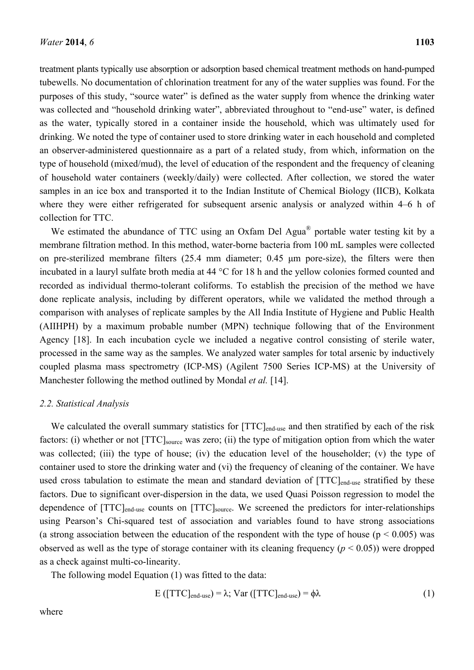treatment plants typically use absorption or adsorption based chemical treatment methods on hand-pumped tubewells. No documentation of chlorination treatment for any of the water supplies was found. For the purposes of this study, "source water" is defined as the water supply from whence the drinking water was collected and "household drinking water", abbreviated throughout to "end-use" water, is defined as the water, typically stored in a container inside the household, which was ultimately used for drinking. We noted the type of container used to store drinking water in each household and completed an observer-administered questionnaire as a part of a related study, from which, information on the type of household (mixed/mud), the level of education of the respondent and the frequency of cleaning of household water containers (weekly/daily) were collected. After collection, we stored the water samples in an ice box and transported it to the Indian Institute of Chemical Biology (IICB), Kolkata where they were either refrigerated for subsequent arsenic analysis or analyzed within 4–6 h of collection for TTC.

We estimated the abundance of TTC using an Oxfam Del Agua<sup>®</sup> portable water testing kit by a membrane filtration method. In this method, water-borne bacteria from 100 mL samples were collected on pre-sterilized membrane filters (25.4 mm diameter; 0.45 μm pore-size), the filters were then incubated in a lauryl sulfate broth media at 44 °C for 18 h and the yellow colonies formed counted and recorded as individual thermo-tolerant coliforms. To establish the precision of the method we have done replicate analysis, including by different operators, while we validated the method through a comparison with analyses of replicate samples by the All India Institute of Hygiene and Public Health (AIIHPH) by a maximum probable number (MPN) technique following that of the Environment Agency [18]. In each incubation cycle we included a negative control consisting of sterile water, processed in the same way as the samples. We analyzed water samples for total arsenic by inductively coupled plasma mass spectrometry (ICP-MS) (Agilent 7500 Series ICP-MS) at the University of Manchester following the method outlined by Mondal *et al.* [14].

#### *2.2. Statistical Analysis*

We calculated the overall summary statistics for [TTC]<sub>end-use</sub> and then stratified by each of the risk factors: (i) whether or not [TTC]<sub>source</sub> was zero; (ii) the type of mitigation option from which the water was collected; (iii) the type of house; (iv) the education level of the householder; (v) the type of container used to store the drinking water and (vi) the frequency of cleaning of the container. We have used cross tabulation to estimate the mean and standard deviation of [TTC]<sub>end-use</sub> stratified by these factors. Due to significant over-dispersion in the data, we used Quasi Poisson regression to model the dependence of [TTC]<sub>end-use</sub> counts on [TTC]<sub>source</sub>. We screened the predictors for inter-relationships using Pearson's Chi-squared test of association and variables found to have strong associations (a strong association between the education of the respondent with the type of house ( $p < 0.005$ ) was observed as well as the type of storage container with its cleaning frequency  $(p < 0.05)$ ) were dropped as a check against multi-co-linearity.

The following model Equation (1) was fitted to the data:

$$
E ([TTC]_{end-use}) = \lambda; Var ([TTC]_{end-use}) = \phi \lambda
$$
 (1)

where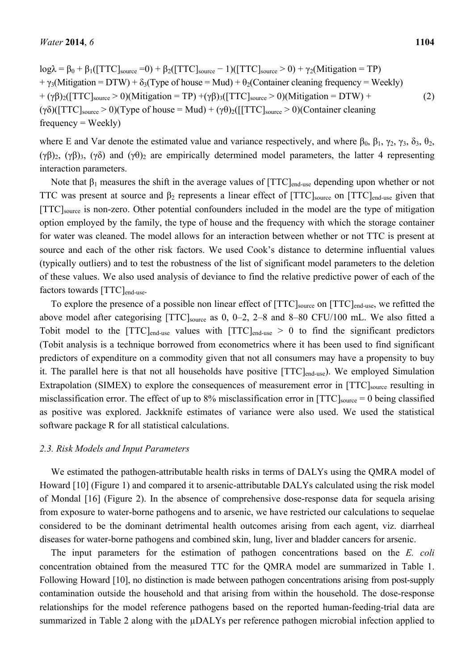$log \lambda = \beta_0 + \beta_1 ([TTC]_{source} = 0) + \beta_2 ([TTC]_{source} - 1)([TTC]_{source} > 0) + \gamma_2 (Mitigation = TP)$ +  $\gamma_3$ (Mitigation = DTW) +  $\delta_3$ (Type of house = Mud) +  $\theta_2$ (Container cleaning frequency = Weekly) +  $(\gamma \beta)$ <sub>2</sub>([TTC]<sub>source</sub> > 0)(Mitigation = TP) +( $\gamma \beta$ )<sub>3</sub>([TTC]<sub>source</sub> > 0)(Mitigation = DTW) + (γδ)([TTC]<sub>source</sub> > 0)(Type of house = Mud) + (γθ)<sub>2</sub>([[TTC]<sub>source</sub> > 0)(Container cleaning  $frequency = \text{Weakly}$ (2)

where E and Var denote the estimated value and variance respectively, and where  $\beta_0$ ,  $\beta_1$ ,  $\gamma_2$ ,  $\gamma_3$ ,  $\delta_3$ ,  $\theta_2$ , (γβ)<sub>2</sub>, (γβ)<sub>3</sub>, (γδ) and (γθ)<sub>2</sub> are empirically determined model parameters, the latter 4 representing interaction parameters.

Note that  $β_1$  measures the shift in the average values of [TTC]<sub>end-use</sub> depending upon whether or not TTC was present at source and  $\beta_2$  represents a linear effect of [TTC]<sub>source</sub> on [TTC]<sub>end-use</sub> given that [TTC]source is non-zero. Other potential confounders included in the model are the type of mitigation option employed by the family, the type of house and the frequency with which the storage container for water was cleaned. The model allows for an interaction between whether or not TTC is present at source and each of the other risk factors. We used Cook's distance to determine influential values (typically outliers) and to test the robustness of the list of significant model parameters to the deletion of these values. We also used analysis of deviance to find the relative predictive power of each of the factors towards [TTC]<sub>end-use</sub>.

To explore the presence of a possible non linear effect of [TTC]<sub>source</sub> on [TTC]<sub>end-use</sub>, we refitted the above model after categorising  $[TTC]_{source}$  as 0, 0–2, 2–8 and 8–80 CFU/100 mL. We also fitted a Tobit model to the  $[TTC]_{end-use}$  values with  $[TTC]_{end-use} > 0$  to find the significant predictors (Tobit analysis is a technique borrowed from econometrics where it has been used to find significant predictors of expenditure on a commodity given that not all consumers may have a propensity to buy it. The parallel here is that not all households have positive  $[TTC]_{end-use}$ . We employed Simulation Extrapolation (SIMEX) to explore the consequences of measurement error in [TTC]<sub>source</sub> resulting in misclassification error. The effect of up to 8% misclassification error in  $[TTC]_{source} = 0$  being classified as positive was explored. Jackknife estimates of variance were also used. We used the statistical software package R for all statistical calculations.

#### *2.3. Risk Models and Input Parameters*

We estimated the pathogen-attributable health risks in terms of DALYs using the QMRA model of Howard [10] (Figure 1) and compared it to arsenic-attributable DALYs calculated using the risk model of Mondal [16] (Figure 2). In the absence of comprehensive dose-response data for sequela arising from exposure to water-borne pathogens and to arsenic, we have restricted our calculations to sequelae considered to be the dominant detrimental health outcomes arising from each agent, viz. diarrheal diseases for water-borne pathogens and combined skin, lung, liver and bladder cancers for arsenic.

The input parameters for the estimation of pathogen concentrations based on the *E. coli* concentration obtained from the measured TTC for the QMRA model are summarized in Table 1. Following Howard [10], no distinction is made between pathogen concentrations arising from post-supply contamination outside the household and that arising from within the household. The dose-response relationships for the model reference pathogens based on the reported human-feeding-trial data are summarized in Table 2 along with the  $\mu$ DALYs per reference pathogen microbial infection applied to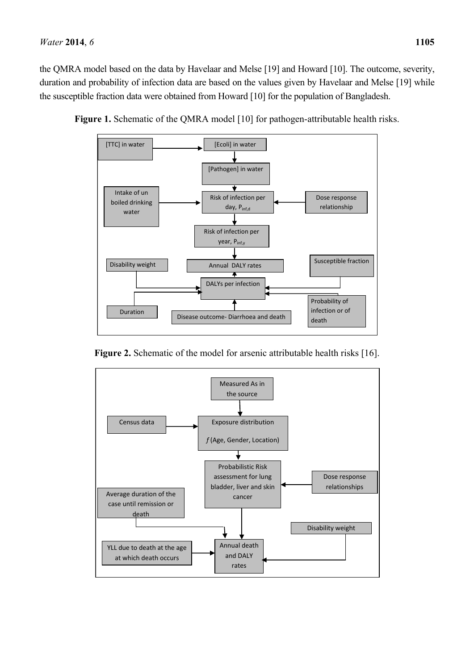the QMRA model based on the data by Havelaar and Melse [19] and Howard [10]. The outcome, severity, duration and probability of infection data are based on the values given by Havelaar and Melse [19] while the susceptible fraction data were obtained from Howard [10] for the population of Bangladesh.



Figure 1. Schematic of the QMRA model [10] for pathogen-attributable health risks.

**Figure 2.** Schematic of the model for arsenic attributable health risks [16].

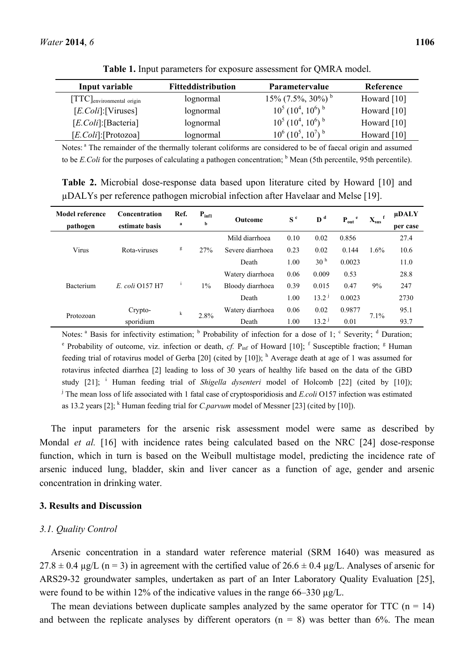| 11 |  |
|----|--|
|    |  |

| Input variable               | Fitteddistribution | <b>Parametervalue</b>           | Reference     |
|------------------------------|--------------------|---------------------------------|---------------|
| $[TTC]$ environmental origin | lognormal          | $15\%$ (7.5%, 30%) <sup>b</sup> | Howard $[10]$ |
| $[E. Coli]$ : [Viruses]      | lognormal          | $10^5 (10^4, 10^6)^{b}$         | Howard $[10]$ |
| $[E. Coli]$ : [Bacteria]     | lognormal          | $10^5 (10^4, 10^6)^{\text{b}}$  | Howard $[10]$ |
| $[E. Coli]$ : [Protozoa]     | lognormal          | $10^6 (10^5, 10^7)^{b}$         | Howard $[10]$ |

**Table 1.** Input parameters for exposure assessment for QMRA model.

Notes: a The remainder of the thermally tolerant coliforms are considered to be of faecal origin and assumed to be *E. Coli* for the purposes of calculating a pathogen concentration;  $<sup>b</sup>$  Mean (5th percentile, 95th percentile).</sup>

**Table 2.** Microbial dose-response data based upon literature cited by Howard [10] and µDALYs per reference pathogen microbial infection after Havelaar and Melse [19].

| Model reference | <b>Concentration</b> | Ref. | $P_{\text{infl}}$<br><b>Outcome</b> |                  | $\mathbf{D}^{\mathrm{d}}$<br>$S^c$ |                   | $P_{out}$ | $\mathbf{X}_{\text{sus}}$ <sup>f</sup> | µDALY    |  |      |
|-----------------|----------------------|------|-------------------------------------|------------------|------------------------------------|-------------------|-----------|----------------------------------------|----------|--|------|
| pathogen        | estimate basis       | a    | b                                   |                  |                                    |                   |           |                                        | per case |  |      |
|                 |                      |      |                                     | Mild diarrhoea   | 0.10                               | 0.02              | 0.856     |                                        | 27.4     |  |      |
| Virus           | Rota-viruses         | g    | 27%                                 | Severe diarrhoea | 0.23                               | 0.02              | 0.144     | 1.6%                                   | 10.6     |  |      |
|                 |                      |      |                                     | Death            | 1.00                               | 30 <sup>h</sup>   | 0.0023    |                                        | 11.0     |  |      |
|                 |                      |      |                                     | Watery diarrhoea | 0.06                               | 0.009             | 0.53      |                                        | 28.8     |  |      |
| Bacterium       | E. coli O157 H7      |      | $1\%$                               | Bloody diarrhoea | 0.39                               | 0.015             | 0.47      | 9%                                     | 247      |  |      |
|                 |                      |      |                                     |                  |                                    | Death             | 1.00      | 13.2 <sup>1</sup>                      | 0.0023   |  | 2730 |
|                 | Crypto-              | k    |                                     | Watery diarrhoea | 0.06                               | 0.02              | 0.9877    |                                        | 95.1     |  |      |
| Protozoan       | sporidium            |      | 2.8%                                | Death            | 1.00                               | 13.2 <sup>1</sup> | 0.01      | 7.1%                                   | 93.7     |  |      |

Notes:  $\alpha$  Basis for infectivity estimation;  $\beta$  Probability of infection for a dose of 1;  $\alpha$  Severity;  $\alpha$  Duration; <sup>e</sup> Probability of outcome, viz. infection or death, *cf.* P<sub>inf</sub> of Howard [10]; <sup>f</sup> Susceptible fraction; <sup>g</sup> Human feeding trial of rotavirus model of Gerba [20] (cited by [10]);  $<sup>h</sup>$  Average death at age of 1 was assumed for</sup> rotavirus infected diarrhea [2] leading to loss of 30 years of healthy life based on the data of the GBD study [21]; <sup>i</sup> Human feeding trial of *Shigella dysenteri* model of Holcomb [22] (cited by [10]); <sup>j</sup> The mean loss of life associated with 1 fatal case of cryptosporidiosis and *E.coli* O157 infection was estimated as 13.2 years  $[2]$ ; <sup>k</sup> Human feeding trial for *C.parvum* model of Messner  $[23]$  (cited by  $[10]$ ).

The input parameters for the arsenic risk assessment model were same as described by Mondal *et al.* [16] with incidence rates being calculated based on the NRC [24] dose-response function, which in turn is based on the Weibull multistage model, predicting the incidence rate of arsenic induced lung, bladder, skin and liver cancer as a function of age, gender and arsenic concentration in drinking water.

#### **3. Results and Discussion**

# *3.1. Quality Control*

Arsenic concentration in a standard water reference material (SRM 1640) was measured as  $27.8 \pm 0.4$  µg/L (n = 3) in agreement with the certified value of  $26.6 \pm 0.4$  µg/L. Analyses of arsenic for ARS29-32 groundwater samples, undertaken as part of an Inter Laboratory Quality Evaluation [25], were found to be within 12% of the indicative values in the range 66–330 µg/L.

The mean deviations between duplicate samples analyzed by the same operator for TTC ( $n = 14$ ) and between the replicate analyses by different operators  $(n = 8)$  was better than 6%. The mean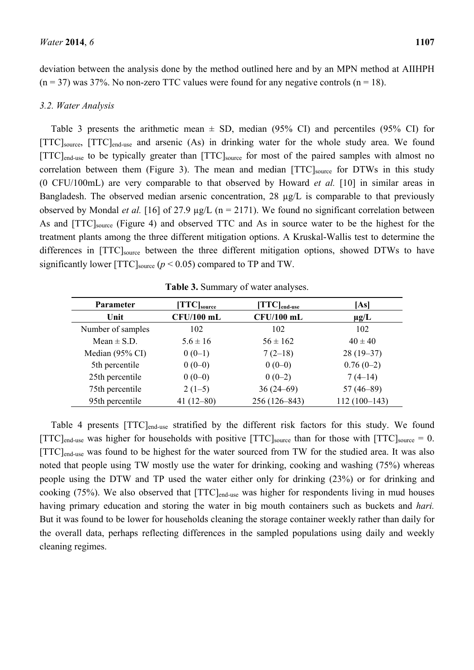deviation between the analysis done by the method outlined here and by an MPN method at AIIHPH  $(n = 37)$  was 37%. No non-zero TTC values were found for any negative controls  $(n = 18)$ .

## *3.2. Water Analysis*

Table 3 presents the arithmetic mean  $\pm$  SD, median (95% CI) and percentiles (95% CI) for [TTC]<sub>source</sub>, [TTC]<sub>end-use</sub> and arsenic (As) in drinking water for the whole study area. We found [TTC]end-use to be typically greater than [TTC]source for most of the paired samples with almost no correlation between them (Figure 3). The mean and median  $[TTC]_{source}$  for DTWs in this study (0 CFU/100mL) are very comparable to that observed by Howard *et al.* [10] in similar areas in Bangladesh. The observed median arsenic concentration, 28  $\mu$ g/L is comparable to that previously observed by Mondal *et al.* [16] of 27.9 µg/L (n = 2171). We found no significant correlation between As and [TTC]<sub>source</sub> (Figure 4) and observed TTC and As in source water to be the highest for the treatment plants among the three different mitigation options. A Kruskal-Wallis test to determine the differences in [TTC]<sub>source</sub> between the three different mitigation options, showed DTWs to have significantly lower  $[TTC]_{source}$  ( $p < 0.05$ ) compared to TP and TW.

| <b>Parameter</b>           | $[TTC]_{source}$  | $[TTC]_{end-use}$ | [As]           |
|----------------------------|-------------------|-------------------|----------------|
| Unit                       | <b>CFU/100 mL</b> | $CFU/100$ mL      | $\mu$ g/L      |
| Number of samples          | 102               | 102               | 102            |
| Mean $\pm$ S.D.            | $5.6 \pm 16$      | $56 \pm 162$      | $40 \pm 40$    |
| Median $(95\% \text{ CI})$ | $0(0-1)$          | $7(2-18)$         | $28(19-37)$    |
| 5th percentile             | $0(0-0)$          | $0(0-0)$          | $0.76(0-2)$    |
| 25th percentile            | $0(0-0)$          | $0(0-2)$          | $7(4-14)$      |
| 75th percentile            | $2(1-5)$          | $36(24-69)$       | $57(46-89)$    |
| 95th percentile            | 41 $(12-80)$      | 256 (126-843)     | $112(100-143)$ |

**Table 3.** Summary of water analyses.

Table 4 presents [TTC]<sub>end-use</sub> stratified by the different risk factors for this study. We found  $[TTC]_{\text{end-use}}$  was higher for households with positive  $[TTC]_{\text{source}}$  than for those with  $[TTC]_{\text{source}} = 0$ . [TTC]<sub>end-use</sub> was found to be highest for the water sourced from TW for the studied area. It was also noted that people using TW mostly use the water for drinking, cooking and washing (75%) whereas people using the DTW and TP used the water either only for drinking (23%) or for drinking and cooking (75%). We also observed that [TTC]end-use was higher for respondents living in mud houses having primary education and storing the water in big mouth containers such as buckets and *hari.*  But it was found to be lower for households cleaning the storage container weekly rather than daily for the overall data, perhaps reflecting differences in the sampled populations using daily and weekly cleaning regimes.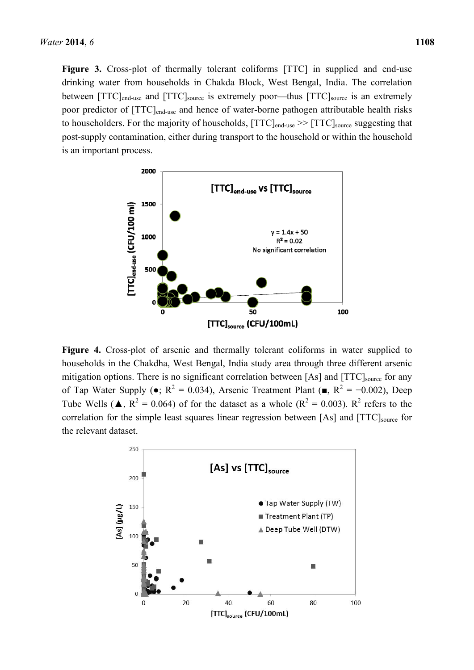**Figure 3.** Cross-plot of thermally tolerant coliforms [TTC] in supplied and end-use drinking water from households in Chakda Block, West Bengal, India. The correlation between [TTC]<sub>end-use</sub> and [TTC]<sub>source</sub> is extremely poor—thus [TTC]<sub>source</sub> is an extremely poor predictor of [TTC]<sub>end-use</sub> and hence of water-borne pathogen attributable health risks to householders. For the majority of households,  $[TTC]_{end-use}$  >>  $[TTC]_{source}$  suggesting that post-supply contamination, either during transport to the household or within the household is an important process.



**Figure 4.** Cross-plot of arsenic and thermally tolerant coliforms in water supplied to households in the Chakdha, West Bengal, India study area through three different arsenic mitigation options. There is no significant correlation between  $[As]$  and  $[TTC]_{source}$  for any of Tap Water Supply ( $\bullet$ ; R<sup>2</sup> = 0.034), Arsenic Treatment Plant ( $\bullet$ , R<sup>2</sup> = -0.002), Deep Tube Wells ( $\triangle$ ,  $R^2 = 0.064$ ) of for the dataset as a whole ( $R^2 = 0.003$ ).  $R^2$  refers to the correlation for the simple least squares linear regression between [As] and [TTC]<sub>source</sub> for the relevant dataset.

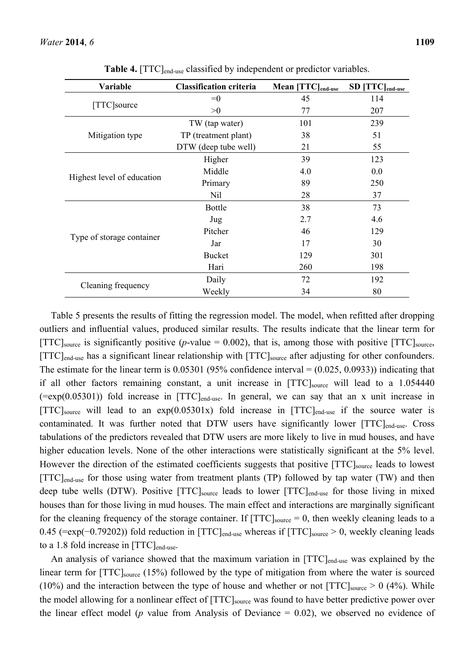| Variable                   | <b>Classification criteria</b> | Mean [TTC] <sub>end-use</sub> | $SD$ [TTC] <sub>end-use</sub> |
|----------------------------|--------------------------------|-------------------------------|-------------------------------|
|                            | $=0$                           | 45                            | 114                           |
| [TTC]source                | >0                             | 77                            | 207                           |
|                            | TW (tap water)                 | 101                           | 239                           |
| Mitigation type            | TP (treatment plant)           | 38                            | 51                            |
|                            | DTW (deep tube well)           | 21                            | 55                            |
|                            | Higher                         | 39                            | 123                           |
| Highest level of education | Middle                         | 4.0                           | 0.0                           |
|                            | Primary                        | 89                            | 250                           |
|                            | Nil                            | 28                            | 37                            |
|                            | <b>Bottle</b>                  | 38                            | 73                            |
|                            | Jug                            | 2.7                           | 4.6                           |
|                            | Pitcher                        | 46                            | 129                           |
| Type of storage container  | Jar                            | 17                            | 30                            |
|                            | <b>Bucket</b>                  | 129                           | 301                           |
|                            | Hari                           | 260                           | 198                           |
|                            | Daily                          | 72                            | 192                           |
| Cleaning frequency         | Weekly                         | 34                            | 80                            |

**Table 4.** [TTC]<sub>end-use</sub> classified by independent or predictor variables.

Table 5 presents the results of fitting the regression model. The model, when refitted after dropping outliers and influential values, produced similar results. The results indicate that the linear term for [TTC]<sub>source</sub> is significantly positive ( $p$ -value = 0.002), that is, among those with positive [TTC]<sub>source</sub>, [TTC]<sub>end-use</sub> has a significant linear relationship with [TTC]<sub>source</sub> after adjusting for other confounders. The estimate for the linear term is  $0.05301$  (95% confidence interval =  $(0.025, 0.0933)$ ) indicating that if all other factors remaining constant, a unit increase in [TTC]<sub>source</sub> will lead to a 1.054440  $(=\exp(0.05301))$  fold increase in [TTC]<sub>end-use</sub>. In general, we can say that an x unit increase in  $[TTC]_{source}$  will lead to an  $exp(0.05301x)$  fold increase in  $[TTC]_{end-use}$  if the source water is contaminated. It was further noted that DTW users have significantly lower [TTC]<sub>end-use</sub>. Cross tabulations of the predictors revealed that DTW users are more likely to live in mud houses, and have higher education levels. None of the other interactions were statistically significant at the 5% level. However the direction of the estimated coefficients suggests that positive [TTC]<sub>source</sub> leads to lowest [TTC]end-use for those using water from treatment plants (TP) followed by tap water (TW) and then deep tube wells (DTW). Positive [TTC]<sub>source</sub> leads to lower [TTC]<sub>end-use</sub> for those living in mixed houses than for those living in mud houses. The main effect and interactions are marginally significant for the cleaning frequency of the storage container. If  $[TTC]_{source} = 0$ , then weekly cleaning leads to a 0.45 (=exp(-0.79202)) fold reduction in [TTC]<sub>end-use</sub> whereas if [TTC]<sub>source</sub> > 0, weekly cleaning leads to a 1.8 fold increase in [TTC]<sub>end-use</sub>.

An analysis of variance showed that the maximum variation in  $[TTC]_{end-use}$  was explained by the linear term for [TTC]<sub>source</sub> (15%) followed by the type of mitigation from where the water is sourced (10%) and the interaction between the type of house and whether or not  $[TTC]_{source} > 0$  (4%). While the model allowing for a nonlinear effect of [TTC]<sub>source</sub> was found to have better predictive power over the linear effect model ( $p$  value from Analysis of Deviance  $= 0.02$ ), we observed no evidence of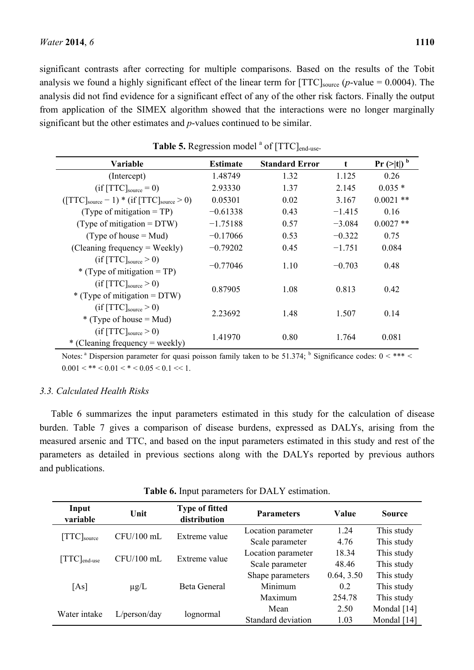significant contrasts after correcting for multiple comparisons. Based on the results of the Tobit analysis we found a highly significant effect of the linear term for  $[TTC]_{source}$  ( $p$ -value = 0.0004). The analysis did not find evidence for a significant effect of any of the other risk factors. Finally the output from application of the SIMEX algorithm showed that the interactions were no longer marginally significant but the other estimates and *p*-values continued to be similar.

| Variable                                                     | <b>Estimate</b> | <b>Standard Error</b> | $\mathbf t$ | $Pr (>=  t )^b$ |
|--------------------------------------------------------------|-----------------|-----------------------|-------------|-----------------|
| (Intercept)                                                  | 1.48749         | 1.32                  | 1.125       | 0.26            |
| $(if [TTC]_{source} = 0)$                                    | 2.93330         | 1.37                  | 2.145       | $0.035*$        |
| $(TTC)_{source}$ – 1) * (if $[TTC]_{source}$ > 0)            | 0.05301         | 0.02                  | 3.167       | $0.0021$ **     |
| (Type of mitigation $= TP$ )                                 | $-0.61338$      | 0.43                  | $-1.415$    | 0.16            |
| (Type of mitigation $=$ DTW)                                 | $-1.75188$      | 0.57                  | $-3.084$    | $0.0027**$      |
| $(\text{Type of house} = \text{Mud})$                        | $-0.17066$      | 0.53                  | $-0.322$    | 0.75            |
| (Cleaning frequency = Weekly)                                | $-0.79202$      | 0.45                  | $-1.751$    | 0.084           |
| $(if [TTC]_{source} > 0)$<br>* (Type of mitigation = TP)     | $-0.77046$      | 1.10                  | $-0.703$    | 0.48            |
| $(if [TTC]_{source} > 0)$<br>* (Type of mitigation = $DTW$ ) | 0.87905         | 1.08                  | 0.813       | 0.42            |
| $(if [TTC]_{source} > 0)$<br>* (Type of house $=$ Mud)       | 2.23692         | 1.48                  | 1.507       | 0.14            |
| $(if [TTC]_{source} > 0)$<br>* (Cleaning frequency = weekly) | 1.41970         | 0.80                  | 1.764       | 0.081           |

Table 5. Regression model <sup>a</sup> of [TTC]<sub>end-use</sub>.

Notes:  $\alpha$  Dispersion parameter for quasi poisson family taken to be 51.374;  $\beta$  Significance codes:  $0 < \alpha$  +  $\alpha$  <  $0.001 <$ \*\* <  $0.01 <$ \* <  $0.05 < 0.1$  << 1.

## *3.3. Calculated Health Risks*

Table 6 summarizes the input parameters estimated in this study for the calculation of disease burden. Table 7 gives a comparison of disease burdens, expressed as DALYs, arising from the measured arsenic and TTC, and based on the input parameters estimated in this study and rest of the parameters as detailed in previous sections along with the DALYs reported by previous authors and publications.

| Input<br>variable                | Unit          | <b>Type of fitted</b><br>distribution | <b>Parameters</b>  | Value      | <b>Source</b> |
|----------------------------------|---------------|---------------------------------------|--------------------|------------|---------------|
|                                  | Extreme value |                                       | Location parameter | 1.24       | This study    |
| $CFU/100$ mL<br>$[TTC]_{source}$ |               |                                       | Scale parameter    | 4.76       | This study    |
|                                  | $CFU/100$ mL  | Extreme value                         | Location parameter | 18.34      | This study    |
| $[TTC]_{end-use}$                |               |                                       | Scale parameter    | 48.46      | This study    |
|                                  |               |                                       | Shape parameters   | 0.64, 3.50 | This study    |
| [As]                             | $\mu$ g/L     | <b>Beta General</b>                   | Minimum            | 0.2        | This study    |
|                                  |               |                                       | Maximum            | 254.78     | This study    |
|                                  |               |                                       | Mean               | 2.50       | Mondal [14]   |
| Water intake                     | L/person/day  | lognormal                             | Standard deviation | 1.03       | Mondal [14]   |

**Table 6.** Input parameters for DALY estimation.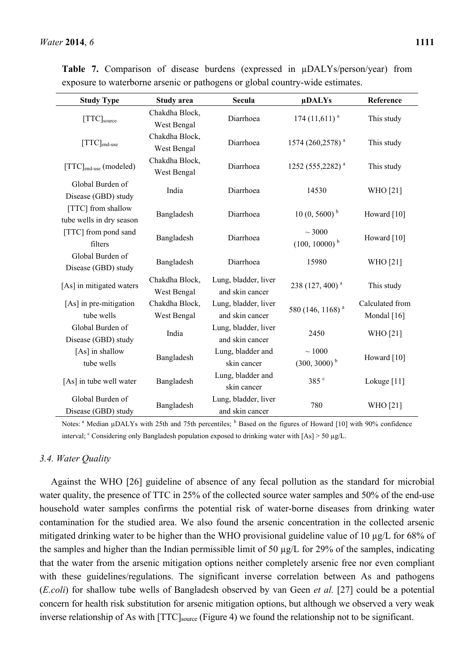| <b>Study Type</b>                              | <b>Study area</b>             | Secula                                  | μDALYs                            | Reference                      |
|------------------------------------------------|-------------------------------|-----------------------------------------|-----------------------------------|--------------------------------|
| $[TTC]_{source}$                               | Chakdha Block,<br>West Bengal | Diarrhoea                               | $174(11,611)^{a}$                 | This study                     |
| $[TTC]_{end-use}$                              | Chakdha Block,<br>West Bengal | Diarrhoea                               | 1574 (260,2578) <sup>a</sup>      | This study                     |
| [TTC] <sub>end-use</sub> (modeled)             | Chakdha Block,<br>West Bengal | Diarrhoea                               | 1252 (555,2282) <sup>a</sup>      | This study                     |
| Global Burden of<br>Disease (GBD) study        | India                         | Diarrhoea                               | 14530                             | WHO [21]                       |
| [TTC] from shallow<br>tube wells in dry season | Bangladesh                    | Diarrhoea                               | $10(0, 5600)^{b}$                 | Howard $[10]$                  |
| [TTC] from pond sand<br>filters                | Bangladesh                    | Diarrhoea                               | $\sim 3000$<br>$(100, 10000)^{b}$ | Howard [10]                    |
| Global Burden of<br>Disease (GBD) study        | Bangladesh                    | Diarrhoea                               | 15980                             | WHO [21]                       |
| [As] in mitigated waters                       | Chakdha Block,<br>West Bengal | Lung, bladder, liver<br>and skin cancer | 238 (127, 400) <sup>a</sup>       | This study                     |
| [As] in pre-mitigation<br>tube wells           | Chakdha Block,<br>West Bengal | Lung, bladder, liver<br>and skin cancer | 580 (146, 1168) <sup>a</sup>      | Calculated from<br>Mondal [16] |
| Global Burden of<br>Disease (GBD) study        | India                         | Lung, bladder, liver<br>and skin cancer | 2450                              | <b>WHO</b> [21]                |
| [As] in shallow<br>tube wells                  | Bangladesh                    | Lung, bladder and<br>skin cancer        | $\sim 1000$<br>$(300, 3000)^{b}$  | Howard [10]                    |
| [As] in tube well water                        | Bangladesh                    | Lung, bladder and<br>skin cancer        | 385 c                             | Lokuge [11]                    |
| Global Burden of<br>Disease (GBD) study        | Bangladesh                    | Lung, bladder, liver<br>and skin cancer | 780                               | WHO [21]                       |

Table 7. Comparison of disease burdens (expressed in  $\mu$ DALYs/person/year) from exposure to waterborne arsenic or pathogens or global country-wide estimates.

Notes:  $a<sup>a</sup>$  Median µDALYs with 25th and 75th percentiles;  $b<sup>b</sup>$  Based on the figures of Howard [10] with 90% confidence interval; <sup>c</sup> Considering only Bangladesh population exposed to drinking water with  $[As] > 50 \mu g/L$ .

## *3.4. Water Quality*

Against the WHO [26] guideline of absence of any fecal pollution as the standard for microbial water quality, the presence of TTC in 25% of the collected source water samples and 50% of the end-use household water samples confirms the potential risk of water-borne diseases from drinking water contamination for the studied area. We also found the arsenic concentration in the collected arsenic mitigated drinking water to be higher than the WHO provisional guideline value of 10 µg/L for 68% of the samples and higher than the Indian permissible limit of 50 µg/L for 29% of the samples, indicating that the water from the arsenic mitigation options neither completely arsenic free nor even compliant with these guidelines/regulations. The significant inverse correlation between As and pathogens (*E.coli*) for shallow tube wells of Bangladesh observed by van Geen *et al.* [27] could be a potential concern for health risk substitution for arsenic mitigation options, but although we observed a very weak inverse relationship of As with [TTC]<sub>source</sub> (Figure 4) we found the relationship not to be significant.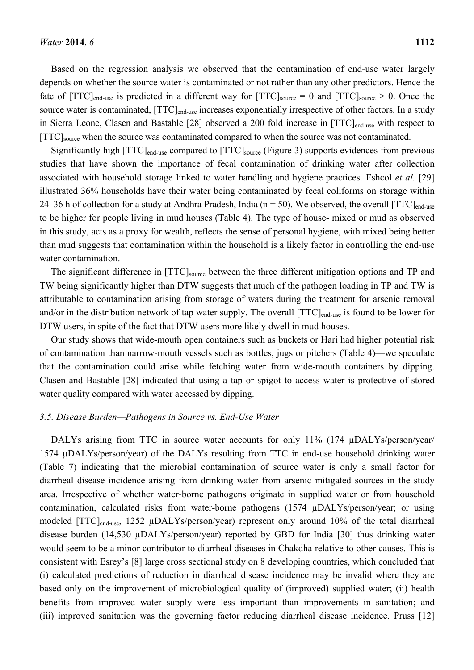Based on the regression analysis we observed that the contamination of end-use water largely depends on whether the source water is contaminated or not rather than any other predictors. Hence the fate of  $[TTC]_{\text{end-use}}$  is predicted in a different way for  $[TTC]_{\text{source}} = 0$  and  $[TTC]_{\text{source}} > 0$ . Once the source water is contaminated, [TTC]<sub>end-use</sub> increases exponentially irrespective of other factors. In a study in Sierra Leone, Clasen and Bastable [28] observed a 200 fold increase in [TTC]<sub>end-use</sub> with respect to [TTC]<sub>source</sub> when the source was contaminated compared to when the source was not contaminated.

Significantly high [TTC]<sub>end-use</sub> compared to [TTC]<sub>source</sub> (Figure 3) supports evidences from previous studies that have shown the importance of fecal contamination of drinking water after collection associated with household storage linked to water handling and hygiene practices. Eshcol *et al.* [29] illustrated 36% households have their water being contaminated by fecal coliforms on storage within 24–36 h of collection for a study at Andhra Pradesh, India ( $n = 50$ ). We observed, the overall [TTC]<sub>end-use</sub> to be higher for people living in mud houses (Table 4). The type of house- mixed or mud as observed in this study, acts as a proxy for wealth, reflects the sense of personal hygiene, with mixed being better than mud suggests that contamination within the household is a likely factor in controlling the end-use water contamination.

The significant difference in [TTC]<sub>source</sub> between the three different mitigation options and TP and TW being significantly higher than DTW suggests that much of the pathogen loading in TP and TW is attributable to contamination arising from storage of waters during the treatment for arsenic removal and/or in the distribution network of tap water supply. The overall  $[TTC]_{end-use}$  is found to be lower for DTW users, in spite of the fact that DTW users more likely dwell in mud houses.

Our study shows that wide-mouth open containers such as buckets or Hari had higher potential risk of contamination than narrow-mouth vessels such as bottles, jugs or pitchers (Table 4)—we speculate that the contamination could arise while fetching water from wide-mouth containers by dipping. Clasen and Bastable [28] indicated that using a tap or spigot to access water is protective of stored water quality compared with water accessed by dipping.

## *3.5. Disease Burden—Pathogens in Source vs. End-Use Water*

DALYs arising from TTC in source water accounts for only 11% (174 µDALYs/person/year/ 1574 µDALYs/person/year) of the DALYs resulting from TTC in end-use household drinking water (Table 7) indicating that the microbial contamination of source water is only a small factor for diarrheal disease incidence arising from drinking water from arsenic mitigated sources in the study area. Irrespective of whether water-borne pathogens originate in supplied water or from household contamination, calculated risks from water-borne pathogens (1574 µDALYs/person/year; or using modeled [TTC]<sub>end-use</sub>, 1252 µDALYs/person/year) represent only around 10% of the total diarrheal disease burden (14,530 µDALYs/person/year) reported by GBD for India [30] thus drinking water would seem to be a minor contributor to diarrheal diseases in Chakdha relative to other causes. This is consistent with Esrey's [8] large cross sectional study on 8 developing countries, which concluded that (i) calculated predictions of reduction in diarrheal disease incidence may be invalid where they are based only on the improvement of microbiological quality of (improved) supplied water; (ii) health benefits from improved water supply were less important than improvements in sanitation; and (iii) improved sanitation was the governing factor reducing diarrheal disease incidence. Pruss [12]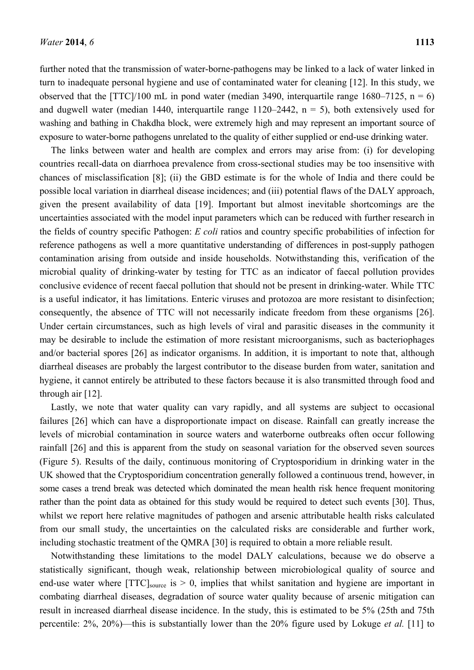further noted that the transmission of water-borne-pathogens may be linked to a lack of water linked in turn to inadequate personal hygiene and use of contaminated water for cleaning [12]. In this study, we observed that the [TTC]/100 mL in pond water (median 3490, interquartile range 1680–7125,  $n = 6$ ) and dugwell water (median 1440, interguartile range 1120–2442,  $n = 5$ ), both extensively used for washing and bathing in Chakdha block, were extremely high and may represent an important source of exposure to water-borne pathogens unrelated to the quality of either supplied or end-use drinking water.

The links between water and health are complex and errors may arise from: (i) for developing countries recall-data on diarrhoea prevalence from cross-sectional studies may be too insensitive with chances of misclassification [8]; (ii) the GBD estimate is for the whole of India and there could be possible local variation in diarrheal disease incidences; and (iii) potential flaws of the DALY approach, given the present availability of data [19]. Important but almost inevitable shortcomings are the uncertainties associated with the model input parameters which can be reduced with further research in the fields of country specific Pathogen: *E coli* ratios and country specific probabilities of infection for reference pathogens as well a more quantitative understanding of differences in post-supply pathogen contamination arising from outside and inside households. Notwithstanding this, verification of the microbial quality of drinking-water by testing for TTC as an indicator of faecal pollution provides conclusive evidence of recent faecal pollution that should not be present in drinking-water. While TTC is a useful indicator, it has limitations. Enteric viruses and protozoa are more resistant to disinfection; consequently, the absence of TTC will not necessarily indicate freedom from these organisms [26]. Under certain circumstances, such as high levels of viral and parasitic diseases in the community it may be desirable to include the estimation of more resistant microorganisms, such as bacteriophages and/or bacterial spores [26] as indicator organisms. In addition, it is important to note that, although diarrheal diseases are probably the largest contributor to the disease burden from water, sanitation and hygiene, it cannot entirely be attributed to these factors because it is also transmitted through food and through air [12].

Lastly, we note that water quality can vary rapidly, and all systems are subject to occasional failures [26] which can have a disproportionate impact on disease. Rainfall can greatly increase the levels of microbial contamination in source waters and waterborne outbreaks often occur following rainfall [26] and this is apparent from the study on seasonal variation for the observed seven sources (Figure 5). Results of the daily, continuous monitoring of Cryptosporidium in drinking water in the UK showed that the Cryptosporidium concentration generally followed a continuous trend, however, in some cases a trend break was detected which dominated the mean health risk hence frequent monitoring rather than the point data as obtained for this study would be required to detect such events [30]. Thus, whilst we report here relative magnitudes of pathogen and arsenic attributable health risks calculated from our small study, the uncertainties on the calculated risks are considerable and further work, including stochastic treatment of the QMRA [30] is required to obtain a more reliable result.

Notwithstanding these limitations to the model DALY calculations, because we do observe a statistically significant, though weak, relationship between microbiological quality of source and end-use water where  $[TTC]_{source}$  is  $> 0$ , implies that whilst sanitation and hygiene are important in combating diarrheal diseases, degradation of source water quality because of arsenic mitigation can result in increased diarrheal disease incidence. In the study, this is estimated to be 5% (25th and 75th percentile: 2%, 20%)—this is substantially lower than the 20% figure used by Lokuge *et al.* [11] to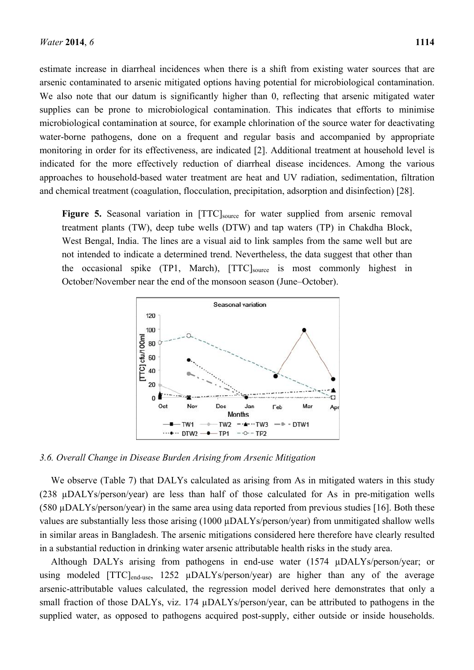estimate increase in diarrheal incidences when there is a shift from existing water sources that are arsenic contaminated to arsenic mitigated options having potential for microbiological contamination. We also note that our datum is significantly higher than 0, reflecting that arsenic mitigated water supplies can be prone to microbiological contamination. This indicates that efforts to minimise microbiological contamination at source, for example chlorination of the source water for deactivating water-borne pathogens, done on a frequent and regular basis and accompanied by appropriate monitoring in order for its effectiveness, are indicated [2]. Additional treatment at household level is indicated for the more effectively reduction of diarrheal disease incidences. Among the various approaches to household-based water treatment are heat and UV radiation, sedimentation, filtration and chemical treatment (coagulation, flocculation, precipitation, adsorption and disinfection) [28].

**Figure 5.** Seasonal variation in [TTC]<sub>source</sub> for water supplied from arsenic removal treatment plants (TW), deep tube wells (DTW) and tap waters (TP) in Chakdha Block, West Bengal, India. The lines are a visual aid to link samples from the same well but are not intended to indicate a determined trend. Nevertheless, the data suggest that other than the occasional spike (TP1, March), [TTC]source is most commonly highest in October/November near the end of the monsoon season (June–October).



*3.6. Overall Change in Disease Burden Arising from Arsenic Mitigation* 

We observe (Table 7) that DALYs calculated as arising from As in mitigated waters in this study (238 µDALYs/person/year) are less than half of those calculated for As in pre-mitigation wells (580 µDALYs/person/year) in the same area using data reported from previous studies [16]. Both these values are substantially less those arising (1000 µDALYs/person/year) from unmitigated shallow wells in similar areas in Bangladesh. The arsenic mitigations considered here therefore have clearly resulted in a substantial reduction in drinking water arsenic attributable health risks in the study area.

Although DALYs arising from pathogens in end-use water (1574 µDALYs/person/year; or using modeled [TTC]<sub>end-use</sub>, 1252 µDALYs/person/year) are higher than any of the average arsenic-attributable values calculated, the regression model derived here demonstrates that only a small fraction of those DALYs, viz. 174  $\mu$ DALYs/person/year, can be attributed to pathogens in the supplied water, as opposed to pathogens acquired post-supply, either outside or inside households.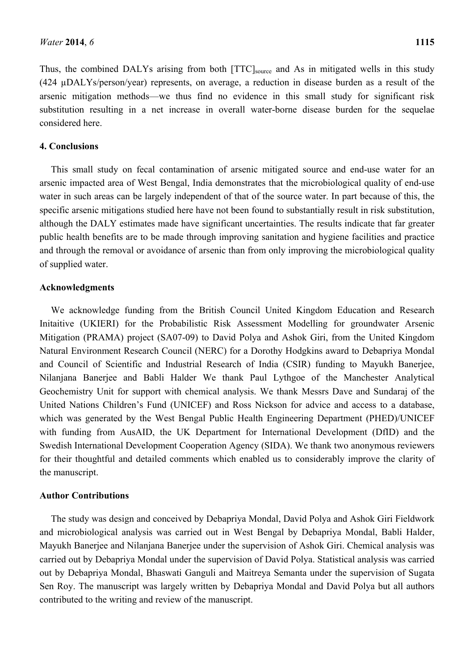Thus, the combined DALYs arising from both [TTC]<sub>source</sub> and As in mitigated wells in this study (424 µDALYs/person/year) represents, on average, a reduction in disease burden as a result of the arsenic mitigation methods—we thus find no evidence in this small study for significant risk substitution resulting in a net increase in overall water-borne disease burden for the sequelae considered here.

# **4. Conclusions**

This small study on fecal contamination of arsenic mitigated source and end-use water for an arsenic impacted area of West Bengal, India demonstrates that the microbiological quality of end-use water in such areas can be largely independent of that of the source water. In part because of this, the specific arsenic mitigations studied here have not been found to substantially result in risk substitution, although the DALY estimates made have significant uncertainties. The results indicate that far greater public health benefits are to be made through improving sanitation and hygiene facilities and practice and through the removal or avoidance of arsenic than from only improving the microbiological quality of supplied water.

## **Acknowledgments**

We acknowledge funding from the British Council United Kingdom Education and Research Initaitive (UKIERI) for the Probabilistic Risk Assessment Modelling for groundwater Arsenic Mitigation (PRAMA) project (SA07-09) to David Polya and Ashok Giri, from the United Kingdom Natural Environment Research Council (NERC) for a Dorothy Hodgkins award to Debapriya Mondal and Council of Scientific and Industrial Research of India (CSIR) funding to Mayukh Banerjee, Nilanjana Banerjee and Babli Halder We thank Paul Lythgoe of the Manchester Analytical Geochemistry Unit for support with chemical analysis. We thank Messrs Dave and Sundaraj of the United Nations Children's Fund (UNICEF) and Ross Nickson for advice and access to a database, which was generated by the West Bengal Public Health Engineering Department (PHED)/UNICEF with funding from AusAID, the UK Department for International Development (DfID) and the Swedish International Development Cooperation Agency (SIDA). We thank two anonymous reviewers for their thoughtful and detailed comments which enabled us to considerably improve the clarity of the manuscript.

## **Author Contributions**

The study was design and conceived by Debapriya Mondal, David Polya and Ashok Giri Fieldwork and microbiological analysis was carried out in West Bengal by Debapriya Mondal, Babli Halder, Mayukh Banerjee and Nilanjana Banerjee under the supervision of Ashok Giri. Chemical analysis was carried out by Debapriya Mondal under the supervision of David Polya. Statistical analysis was carried out by Debapriya Mondal, Bhaswati Ganguli and Maitreya Semanta under the supervision of Sugata Sen Roy. The manuscript was largely written by Debapriya Mondal and David Polya but all authors contributed to the writing and review of the manuscript.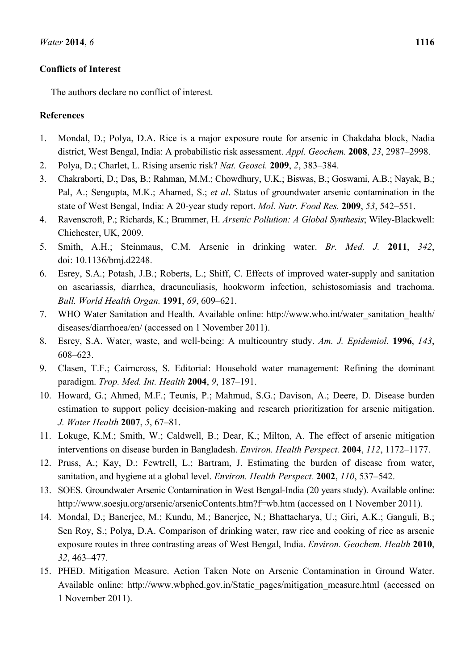# **Conflicts of Interest**

The authors declare no conflict of interest.

# **References**

- 1. Mondal, D.; Polya, D.A. Rice is a major exposure route for arsenic in Chakdaha block, Nadia district, West Bengal, India: A probabilistic risk assessment. *Appl. Geochem.* **2008**, *23*, 2987–2998.
- 2. Polya, D.; Charlet, L. Rising arsenic risk? *Nat. Geosci.* **2009**, *2*, 383–384.
- 3. Chakraborti, D.; Das, B.; Rahman, M.M.; Chowdhury, U.K.; Biswas, B.; Goswami, A.B.; Nayak, B.; Pal, A.; Sengupta, M.K.; Ahamed, S.; *et al*. Status of groundwater arsenic contamination in the state of West Bengal, India: A 20-year study report. *Mol. Nutr. Food Res.* **2009**, *53*, 542–551.
- 4. Ravenscroft, P.; Richards, K.; Brammer, H. *Arsenic Pollution: A Global Synthesis*; Wiley-Blackwell: Chichester, UK, 2009.
- 5. Smith, A.H.; Steinmaus, C.M. Arsenic in drinking water. *Br. Med. J.* **2011**, *342*, doi: 10.1136/bmj.d2248.
- 6. Esrey, S.A.; Potash, J.B.; Roberts, L.; Shiff, C. Effects of improved water-supply and sanitation on ascariassis, diarrhea, dracunculiasis, hookworm infection, schistosomiasis and trachoma. *Bull. World Health Organ.* **1991**, *69*, 609–621.
- 7. WHO Water Sanitation and Health. Available online: http://www.who.int/water\_sanitation\_health/ diseases/diarrhoea/en/ (accessed on 1 November 2011).
- 8. Esrey, S.A. Water, waste, and well-being: A multicountry study. *Am. J. Epidemiol.* **1996**, *143*, 608–623.
- 9. Clasen, T.F.; Cairncross, S. Editorial: Household water management: Refining the dominant paradigm. *Trop. Med. Int. Health* **2004**, *9*, 187–191.
- 10. Howard, G.; Ahmed, M.F.; Teunis, P.; Mahmud, S.G.; Davison, A.; Deere, D. Disease burden estimation to support policy decision-making and research prioritization for arsenic mitigation. *J. Water Health* **2007**, *5*, 67–81.
- 11. Lokuge, K.M.; Smith, W.; Caldwell, B.; Dear, K.; Milton, A. The effect of arsenic mitigation interventions on disease burden in Bangladesh. *Environ. Health Perspect.* **2004**, *112*, 1172–1177.
- 12. Pruss, A.; Kay, D.; Fewtrell, L.; Bartram, J. Estimating the burden of disease from water, sanitation, and hygiene at a global level. *Environ. Health Perspect.* **2002**, *110*, 537–542.
- 13. SOES. Groundwater Arsenic Contamination in West Bengal-India (20 years study). Available online: http://www.soesju.org/arsenic/arsenicContents.htm?f=wb.htm (accessed on 1 November 2011).
- 14. Mondal, D.; Banerjee, M.; Kundu, M.; Banerjee, N.; Bhattacharya, U.; Giri, A.K.; Ganguli, B.; Sen Roy, S.; Polya, D.A. Comparison of drinking water, raw rice and cooking of rice as arsenic exposure routes in three contrasting areas of West Bengal, India. *Environ. Geochem. Health* **2010**, *32*, 463–477.
- 15. PHED. Mitigation Measure. Action Taken Note on Arsenic Contamination in Ground Water. Available online: http://www.wbphed.gov.in/Static\_pages/mitigation\_measure.html (accessed on 1 November 2011).